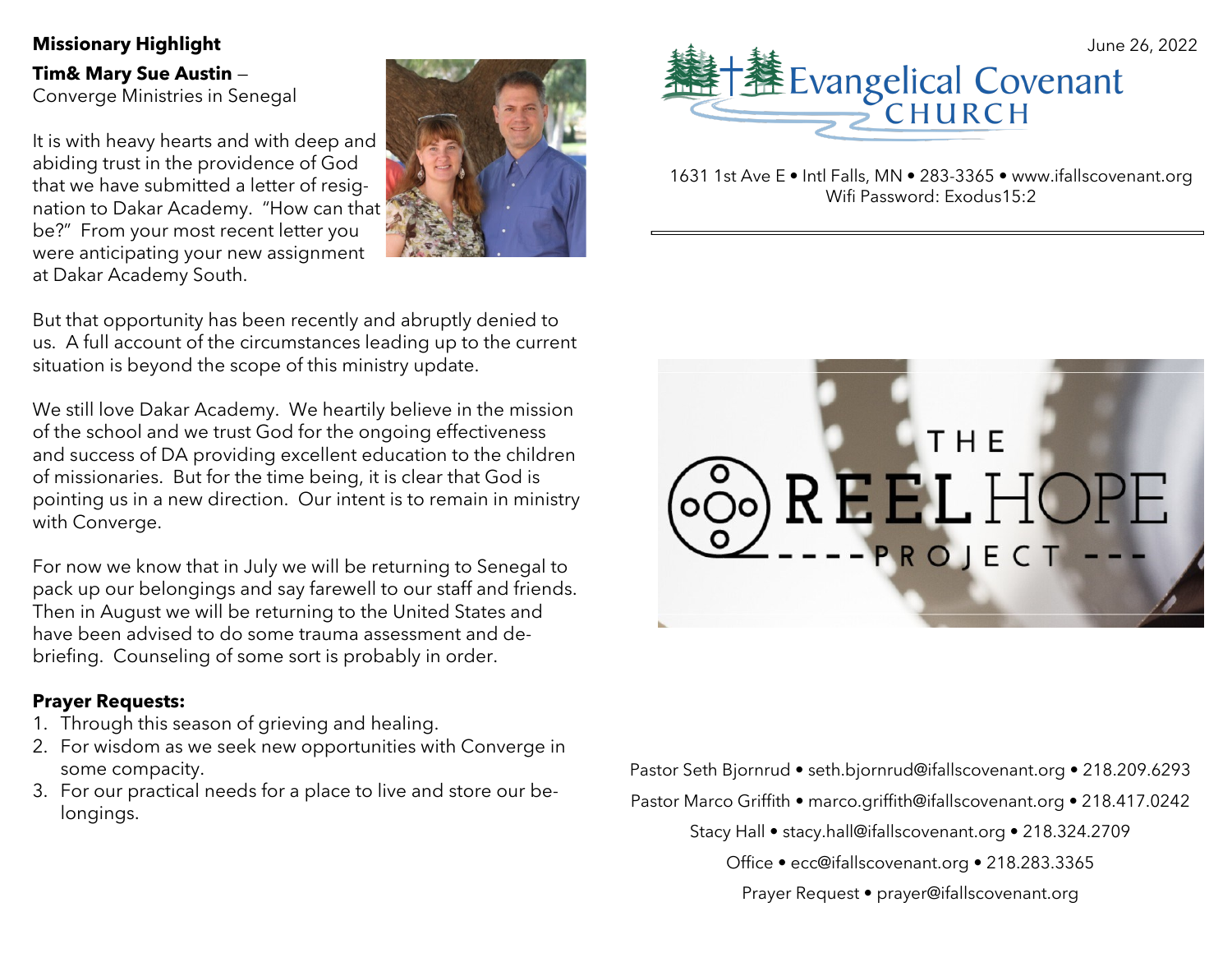**Tim& Mary Sue Austin** — Converge Ministries in Senegal

It is with heavy hearts and with deep and abiding trust in the providence of God that we have submitted a letter of resignation to Dakar Academy. "How can that be?" From your most recent letter you were anticipating your new assignment at Dakar Academy South.



But that opportunity has been recently and abruptly denied to us. A full account of the circumstances leading up to the current situation is beyond the scope of this ministry update.

We still love Dakar Academy. We heartily believe in the mission of the school and we trust God for the ongoing effectiveness and success of DA providing excellent education to the children of missionaries. But for the time being, it is clear that God is pointing us in a new direction. Our intent is to remain in ministry with Converge.

For now we know that in July we will be returning to Senegal to pack up our belongings and say farewell to our staff and friends. Then in August we will be returning to the United States and have been advised to do some trauma assessment and debriefing. Counseling of some sort is probably in order.

### **Prayer Requests:**

- 1. Through this season of grieving and healing.
- 2. For wisdom as we seek new opportunities with Converge in some compacity.
- 3. For our practical needs for a place to live and store our belongings.



1631 1st Ave E • Intl Falls, MN • 283-3365 • www.ifallscovenant.org Wifi Password: Exodus15:2



Pastor Seth Bjornrud • seth.bjornrud@ifallscovenant.org • 218.209.6293 Pastor Marco Griffith • marco.griffith@ifallscovenant.org • 218.417.0242

Stacy Hall • stacy.hall@ifallscovenant.org • 218.324.2709

Office • ecc@ifallscovenant.org • 218.283.3365

Prayer Request • prayer@ifallscovenant.org